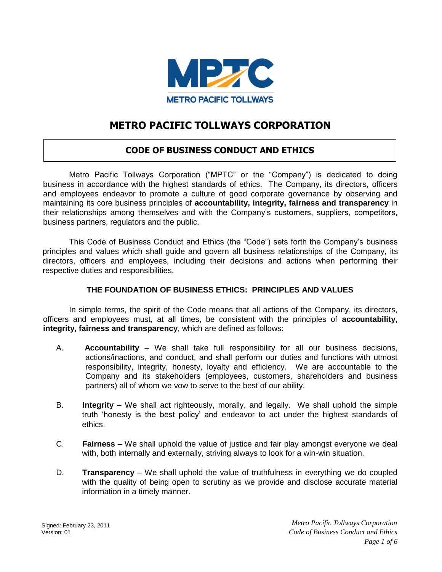

# **METRO PACIFIC TOLLWAYS CORPORATION**

## **CODE OF BUSINESS CONDUCT AND ETHICS**

Metro Pacific Tollways Corporation ("MPTC" or the "Company") is dedicated to doing business in accordance with the highest standards of ethics. The Company, its directors, officers and employees endeavor to promote a culture of good corporate governance by observing and maintaining its core business principles of **accountability, integrity, fairness and transparency** in their relationships among themselves and with the Company's customers, suppliers, competitors, business partners, regulators and the public.

This Code of Business Conduct and Ethics (the "Code") sets forth the Company's business principles and values which shall guide and govern all business relationships of the Company, its directors, officers and employees, including their decisions and actions when performing their respective duties and responsibilities.

## **THE FOUNDATION OF BUSINESS ETHICS: PRINCIPLES AND VALUES**

In simple terms, the spirit of the Code means that all actions of the Company, its directors, officers and employees must, at all times, be consistent with the principles of **accountability, integrity, fairness and transparency**, which are defined as follows:

- A. **Accountability** We shall take full responsibility for all our business decisions, actions/inactions, and conduct, and shall perform our duties and functions with utmost responsibility, integrity, honesty, loyalty and efficiency. We are accountable to the Company and its stakeholders (employees, customers, shareholders and business partners) all of whom we vow to serve to the best of our ability.
- B. **Integrity** We shall act righteously, morally, and legally. We shall uphold the simple truth 'honesty is the best policy' and endeavor to act under the highest standards of ethics.
- C. **Fairness** We shall uphold the value of justice and fair play amongst everyone we deal with, both internally and externally, striving always to look for a win-win situation.
- D. **Transparency** We shall uphold the value of truthfulness in everything we do coupled with the quality of being open to scrutiny as we provide and disclose accurate material information in a timely manner.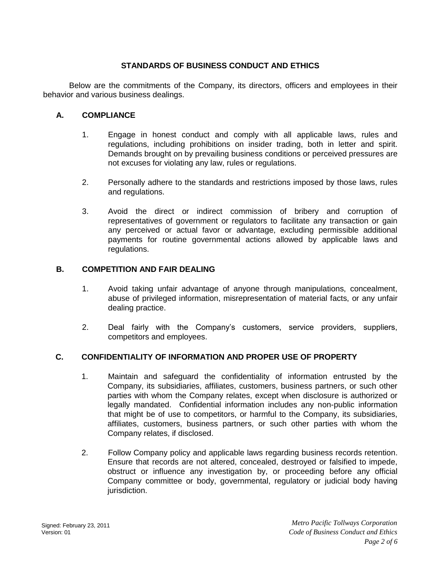## **STANDARDS OF BUSINESS CONDUCT AND ETHICS**

Below are the commitments of the Company, its directors, officers and employees in their behavior and various business dealings.

#### **A. COMPLIANCE**

- 1. Engage in honest conduct and comply with all applicable laws, rules and regulations, including prohibitions on insider trading, both in letter and spirit. Demands brought on by prevailing business conditions or perceived pressures are not excuses for violating any law, rules or regulations.
- 2. Personally adhere to the standards and restrictions imposed by those laws, rules and regulations.
- 3. Avoid the direct or indirect commission of bribery and corruption of representatives of government or regulators to facilitate any transaction or gain any perceived or actual favor or advantage, excluding permissible additional payments for routine governmental actions allowed by applicable laws and regulations.

#### **B. COMPETITION AND FAIR DEALING**

- 1. Avoid taking unfair advantage of anyone through manipulations, concealment, abuse of privileged information, misrepresentation of material facts, or any unfair dealing practice.
- 2. Deal fairly with the Company's customers, service providers, suppliers, competitors and employees.

#### **C. CONFIDENTIALITY OF INFORMATION AND PROPER USE OF PROPERTY**

- 1. Maintain and safeguard the confidentiality of information entrusted by the Company, its subsidiaries, affiliates, customers, business partners, or such other parties with whom the Company relates, except when disclosure is authorized or legally mandated. Confidential information includes any non-public information that might be of use to competitors, or harmful to the Company, its subsidiaries, affiliates, customers, business partners, or such other parties with whom the Company relates, if disclosed.
- 2. Follow Company policy and applicable laws regarding business records retention. Ensure that records are not altered, concealed, destroyed or falsified to impede, obstruct or influence any investigation by, or proceeding before any official Company committee or body, governmental, regulatory or judicial body having jurisdiction.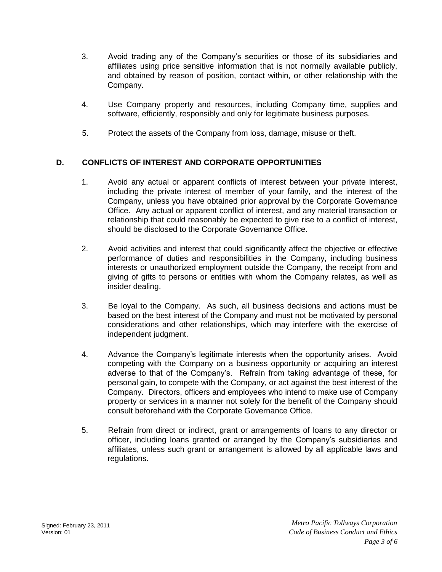- 3. Avoid trading any of the Company's securities or those of its subsidiaries and affiliates using price sensitive information that is not normally available publicly, and obtained by reason of position, contact within, or other relationship with the Company.
- 4. Use Company property and resources, including Company time, supplies and software, efficiently, responsibly and only for legitimate business purposes.
- 5. Protect the assets of the Company from loss, damage, misuse or theft.

## **D. CONFLICTS OF INTEREST AND CORPORATE OPPORTUNITIES**

- 1. Avoid any actual or apparent conflicts of interest between your private interest, including the private interest of member of your family, and the interest of the Company, unless you have obtained prior approval by the Corporate Governance Office. Any actual or apparent conflict of interest, and any material transaction or relationship that could reasonably be expected to give rise to a conflict of interest, should be disclosed to the Corporate Governance Office.
- 2. Avoid activities and interest that could significantly affect the objective or effective performance of duties and responsibilities in the Company, including business interests or unauthorized employment outside the Company, the receipt from and giving of gifts to persons or entities with whom the Company relates, as well as insider dealing.
- 3. Be loyal to the Company. As such, all business decisions and actions must be based on the best interest of the Company and must not be motivated by personal considerations and other relationships, which may interfere with the exercise of independent judgment.
- 4. Advance the Company's legitimate interests when the opportunity arises. Avoid competing with the Company on a business opportunity or acquiring an interest adverse to that of the Company's. Refrain from taking advantage of these, for personal gain, to compete with the Company, or act against the best interest of the Company. Directors, officers and employees who intend to make use of Company property or services in a manner not solely for the benefit of the Company should consult beforehand with the Corporate Governance Office.
- 5. Refrain from direct or indirect, grant or arrangements of loans to any director or officer, including loans granted or arranged by the Company's subsidiaries and affiliates, unless such grant or arrangement is allowed by all applicable laws and regulations.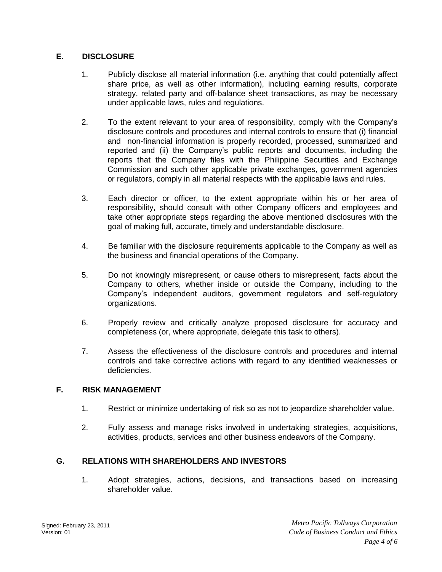## **E. DISCLOSURE**

- 1. Publicly disclose all material information (i.e. anything that could potentially affect share price, as well as other information), including earning results, corporate strategy, related party and off-balance sheet transactions, as may be necessary under applicable laws, rules and regulations.
- 2. To the extent relevant to your area of responsibility, comply with the Company's disclosure controls and procedures and internal controls to ensure that (i) financial and non-financial information is properly recorded, processed, summarized and reported and (ii) the Company's public reports and documents, including the reports that the Company files with the Philippine Securities and Exchange Commission and such other applicable private exchanges, government agencies or regulators, comply in all material respects with the applicable laws and rules.
- 3. Each director or officer, to the extent appropriate within his or her area of responsibility, should consult with other Company officers and employees and take other appropriate steps regarding the above mentioned disclosures with the goal of making full, accurate, timely and understandable disclosure.
- 4. Be familiar with the disclosure requirements applicable to the Company as well as the business and financial operations of the Company.
- 5. Do not knowingly misrepresent, or cause others to misrepresent, facts about the Company to others, whether inside or outside the Company, including to the Company's independent auditors, government regulators and self-regulatory organizations.
- 6. Properly review and critically analyze proposed disclosure for accuracy and completeness (or, where appropriate, delegate this task to others).
- 7. Assess the effectiveness of the disclosure controls and procedures and internal controls and take corrective actions with regard to any identified weaknesses or deficiencies.

#### **F. RISK MANAGEMENT**

- 1. Restrict or minimize undertaking of risk so as not to jeopardize shareholder value.
- 2. Fully assess and manage risks involved in undertaking strategies, acquisitions, activities, products, services and other business endeavors of the Company.

## **G. RELATIONS WITH SHAREHOLDERS AND INVESTORS**

1. Adopt strategies, actions, decisions, and transactions based on increasing shareholder value.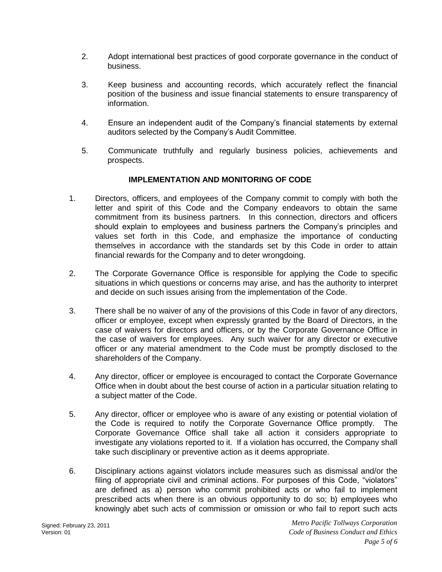- 2. Adopt international best practices of good corporate governance in the conduct of business.
- 3. Keep business and accounting records, which accurately reflect the financial position of the business and issue financial statements to ensure transparency of information.
- 4. Ensure an independent audit of the Company's financial statements by external auditors selected by the Company's Audit Committee.
- 5. Communicate truthfully and regularly business policies, achievements and prospects.

#### **IMPLEMENTATION AND MONITORING OF CODE**

- 1. Directors, officers, and employees of the Company commit to comply with both the letter and spirit of this Code and the Company endeavors to obtain the same commitment from its business partners. In this connection, directors and officers should explain to employees and business partners the Company's principles and values set forth in this Code, and emphasize the importance of conducting themselves in accordance with the standards set by this Code in order to attain financial rewards for the Company and to deter wrongdoing.
- 2. The Corporate Governance Office is responsible for applying the Code to specific situations in which questions or concerns may arise, and has the authority to interpret and decide on such issues arising from the implementation of the Code.
- 3. There shall be no waiver of any of the provisions of this Code in favor of any directors, officer or employee, except when expressly granted by the Board of Directors, in the case of waivers for directors and officers, or by the Corporate Governance Office in the case of waivers for employees. Any such waiver for any director or executive officer or any material amendment to the Code must be promptly disclosed to the shareholders of the Company.
- 4. Any director, officer or employee is encouraged to contact the Corporate Governance Office when in doubt about the best course of action in a particular situation relating to a subject matter of the Code.
- 5. Any director, officer or employee who is aware of any existing or potential violation of the Code is required to notify the Corporate Governance Office promptly. The Corporate Governance Office shall take all action it considers appropriate to investigate any violations reported to it. If a violation has occurred, the Company shall take such disciplinary or preventive action as it deems appropriate.
- 6. Disciplinary actions against violators include measures such as dismissal and/or the filing of appropriate civil and criminal actions. For purposes of this Code, "violators" are defined as a) person who commit prohibited acts or who fail to implement prescribed acts when there is an obvious opportunity to do so; b) employees who knowingly abet such acts of commission or omission or who fail to report such acts